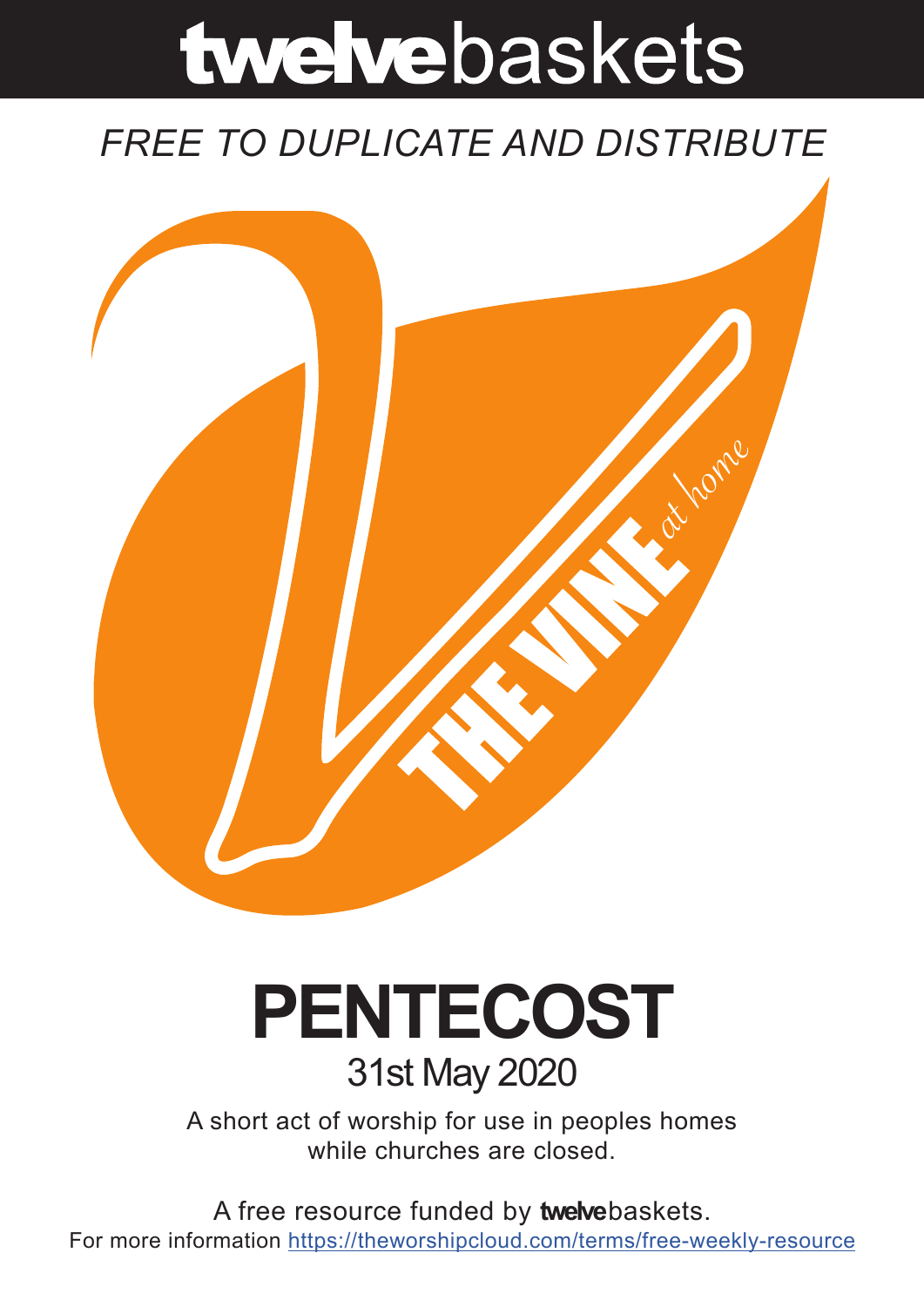# twelvebaskets

### *FREE TO DUPLICATE AND DISTRIBUTE*



## **PENTECOST** 31st May 2020

A short act of worship for use in peoples homes while churches are closed.

A free resource funded by **twelve**baskets. For more information https://theworshipcloud.com/terms/free-weekly-resource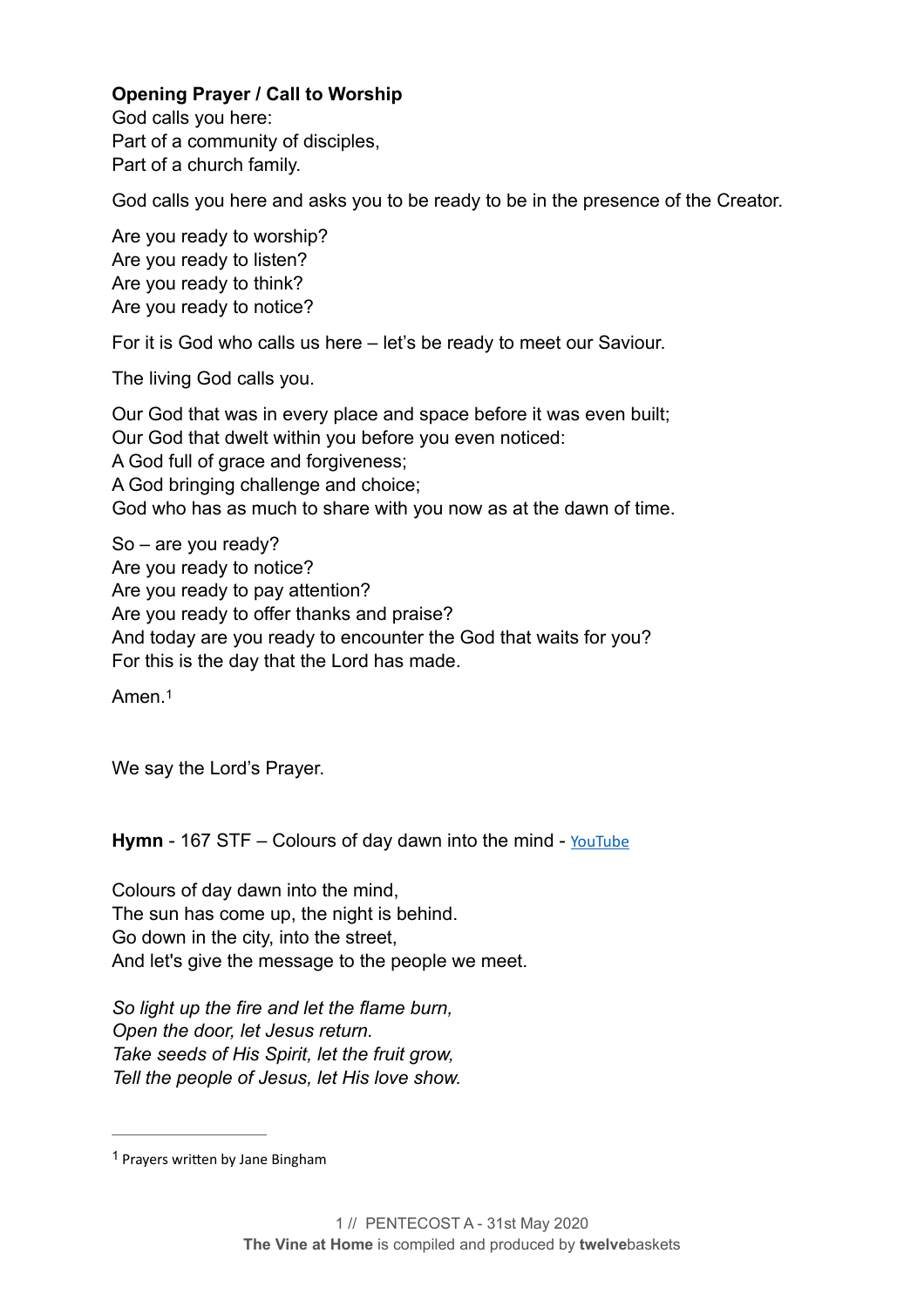#### **Opening Prayer / Call to Worship**

God calls you here: Part of a community of disciples, Part of a church family.

God calls you here and asks you to be ready to be in the presence of the Creator.

Are you ready to worship? Are you ready to listen? Are you ready to think? Are you ready to notice?

For it is God who calls us here – let's be ready to meet our Saviour.

The living God calls you.

Our God that was in every place and space before it was even built; Our God that dwelt within you before you even noticed: A God full of grace and forgiveness; A God bringing challenge and choice; God who has as much to share with you now as at the dawn of time.

So – are you ready? Are you ready to notice? Are you ready to pay attention? Are you ready to offer thanks and praise? And today are you ready to encounter the God that waits for you? For this is the day that the Lord has made.

<span id="page-1-1"></span>Amen.[1](#page-1-0)

We say the Lord's Prayer.

Hymn - 167 STF – Colours of day dawn into the mind - [YouTube](https://www.youtube.com/watch?v=ToLdPZ8aqg8)

Colours of day dawn into the mind, The sun has come up, the night is behind. Go down in the city, into the street, And let's give the message to the people we meet.

*So light up the fire and let the flame burn, Open the door, let Jesus return. Take seeds of His Spirit, let the fruit grow, Tell the people of Jesus, let His love show.* 

<span id="page-1-0"></span> $1$  Prayers written by Jane Bingham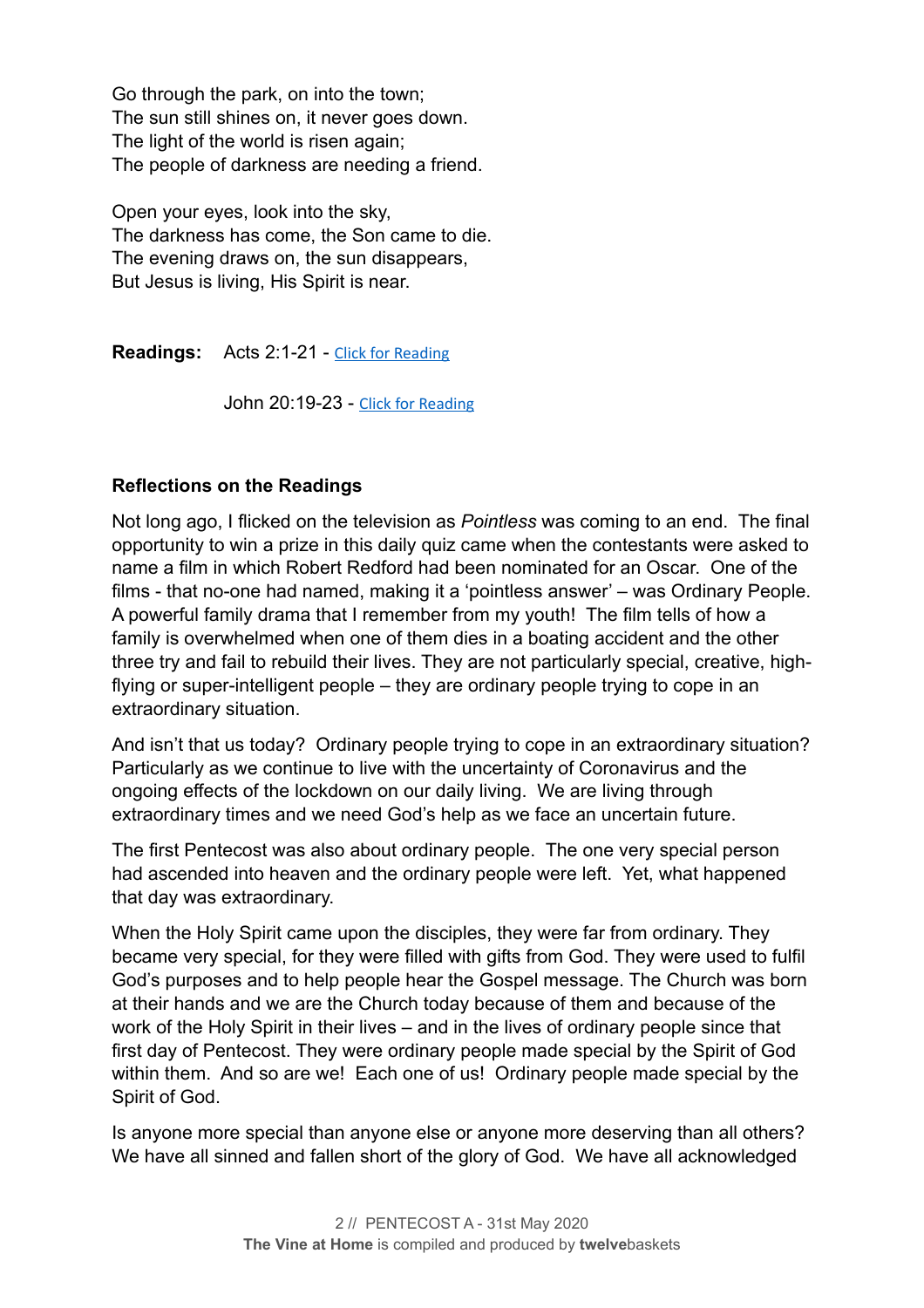Go through the park, on into the town; The sun still shines on, it never goes down. The light of the world is risen again; The people of darkness are needing a friend.

Open your eyes, look into the sky, The darkness has come, the Son came to die. The evening draws on, the sun disappears, But Jesus is living, His Spirit is near.

**Readings:** Acts 2:1-21 - [Click for Reading](https://www.biblegateway.com/passage/?search=Acts+2:1-21&version=NRSV)

John 20:19-23 - [Click for Reading](https://www.biblegateway.com/passage/?search=John+20:19-23&version=NRSV)

#### **Reflections on the Readings**

Not long ago, I flicked on the television as *Pointless* was coming to an end. The final opportunity to win a prize in this daily quiz came when the contestants were asked to name a film in which Robert Redford had been nominated for an Oscar. One of the films - that no-one had named, making it a 'pointless answer' – was Ordinary People. A powerful family drama that I remember from my youth! The film tells of how a family is overwhelmed when one of them dies in a boating accident and the other three try and fail to rebuild their lives. They are not particularly special, creative, highflying or super-intelligent people – they are ordinary people trying to cope in an extraordinary situation.

And isn't that us today? Ordinary people trying to cope in an extraordinary situation? Particularly as we continue to live with the uncertainty of Coronavirus and the ongoing effects of the lockdown on our daily living. We are living through extraordinary times and we need God's help as we face an uncertain future.

The first Pentecost was also about ordinary people. The one very special person had ascended into heaven and the ordinary people were left. Yet, what happened that day was extraordinary.

When the Holy Spirit came upon the disciples, they were far from ordinary. They became very special, for they were filled with gifts from God. They were used to fulfil God's purposes and to help people hear the Gospel message. The Church was born at their hands and we are the Church today because of them and because of the work of the Holy Spirit in their lives – and in the lives of ordinary people since that first day of Pentecost. They were ordinary people made special by the Spirit of God within them. And so are we! Each one of us! Ordinary people made special by the Spirit of God.

Is anyone more special than anyone else or anyone more deserving than all others? We have all sinned and fallen short of the glory of God. We have all acknowledged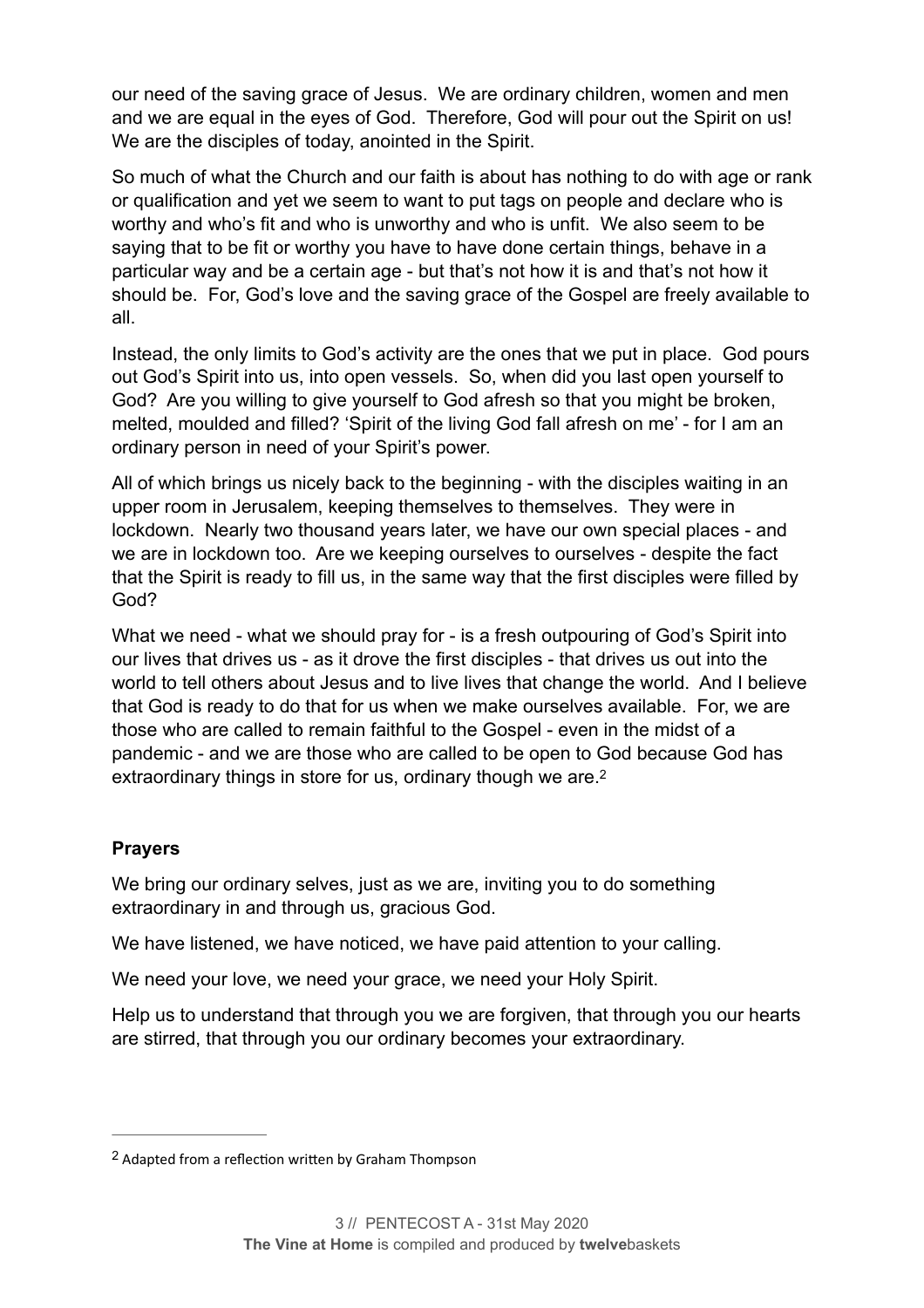our need of the saving grace of Jesus. We are ordinary children, women and men and we are equal in the eyes of God. Therefore, God will pour out the Spirit on us! We are the disciples of today, anointed in the Spirit.

So much of what the Church and our faith is about has nothing to do with age or rank or qualification and yet we seem to want to put tags on people and declare who is worthy and who's fit and who is unworthy and who is unfit. We also seem to be saying that to be fit or worthy you have to have done certain things, behave in a particular way and be a certain age - but that's not how it is and that's not how it should be. For, God's love and the saving grace of the Gospel are freely available to all.

Instead, the only limits to God's activity are the ones that we put in place. God pours out God's Spirit into us, into open vessels. So, when did you last open yourself to God? Are you willing to give yourself to God afresh so that you might be broken, melted, moulded and filled? 'Spirit of the living God fall afresh on me' - for I am an ordinary person in need of your Spirit's power.

All of which brings us nicely back to the beginning - with the disciples waiting in an upper room in Jerusalem, keeping themselves to themselves. They were in lockdown. Nearly two thousand years later, we have our own special places - and we are in lockdown too. Are we keeping ourselves to ourselves - despite the fact that the Spirit is ready to fill us, in the same way that the first disciples were filled by God?

What we need - what we should pray for - is a fresh outpouring of God's Spirit into our lives that drives us - as it drove the first disciples - that drives us out into the world to tell others about Jesus and to live lives that change the world. And I believe that God is ready to do that for us when we make ourselves available. For, we are those who are called to remain faithful to the Gospel - even in the midst of a pandemic - and we are those who are called to be open to God because God has extraordinary things in store for us, ordinary though we are.<sup>2</sup>

#### <span id="page-3-1"></span>**Prayers**

We bring our ordinary selves, just as we are, inviting you to do something extraordinary in and through us, gracious God.

We have listened, we have noticed, we have paid attention to your calling.

We need your love, we need your grace, we need your Holy Spirit.

Help us to understand that through you we are forgiven, that through you our hearts are stirred, that through you our ordinary becomes your extraordinary.

<span id="page-3-0"></span><sup>&</sup>lt;sup>[2](#page-3-1)</sup> Adapted from a reflection written by Graham Thompson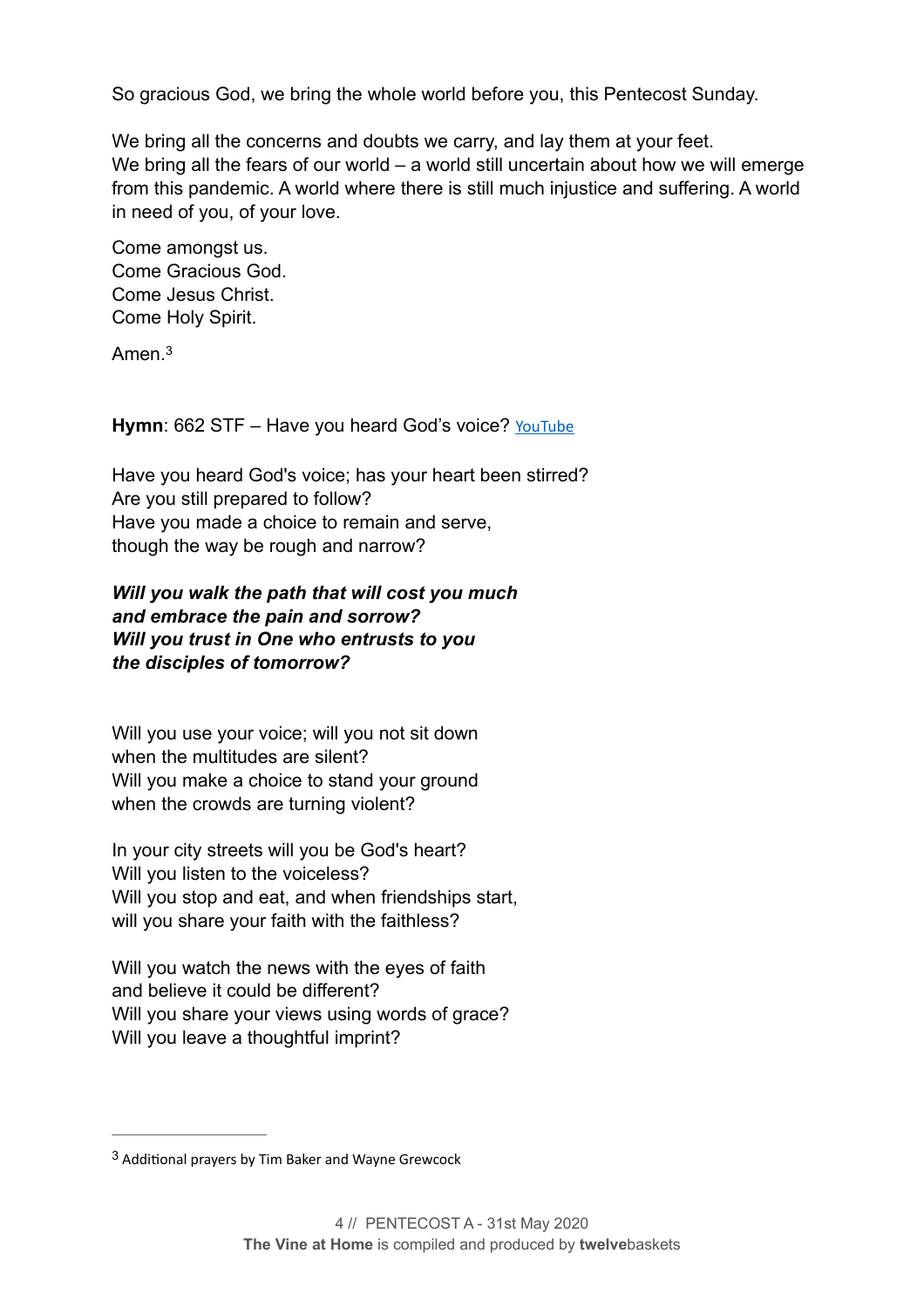So gracious God, we bring the whole world before you, this Pentecost Sunday.

We bring all the concerns and doubts we carry, and lay them at your feet. We bring all the fears of our world – a world still uncertain about how we will emerge from this pandemic. A world where there is still much injustice and suffering. A world in need of you, of your love.

Come amongst us. Come Gracious God. Come Jesus Christ. Come Holy Spirit.

<span id="page-4-1"></span>Amen<sup>[3](#page-4-0)</sup>

Hymn: 662 STF – Have you heard God's voice? [YouTube](https://www.youtube.com/watch?v=sCLvz-LHyeQ)

Have you heard God's voice; has your heart been stirred? Are you still prepared to follow? Have you made a choice to remain and serve, though the way be rough and narrow?

#### *Will you walk the path that will cost you much and embrace the pain and sorrow? Will you trust in One who entrusts to you the disciples of tomorrow?*

Will you use your voice; will you not sit down when the multitudes are silent? Will you make a choice to stand your ground when the crowds are turning violent?

In your city streets will you be God's heart? Will you listen to the voiceless? Will you stop and eat, and when friendships start, will you share your faith with the faithless?

Will you watch the news with the eyes of faith and believe it could be different? Will you share your views using words of grace? Will you leave a thoughtful imprint?

<span id="page-4-0"></span> $3$  Additional prayers by Tim Baker and Wayne Grewcock